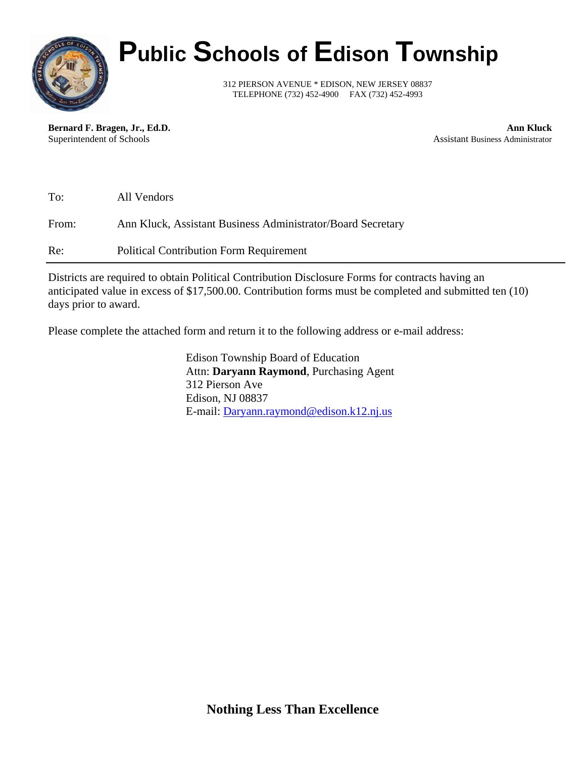

# **Public Schools of Edison Township**

312 PIERSON AVENUE \* EDISON, NEW JERSEY 08837 TELEPHONE (732) 452-4900 FAX (732) 452-4993

**Bernard F. Bragen, Jr., Ed.D. Ann Kluck** Superintendent of Schools **Assistant Business Administrator** Assistant Business Administrator

| To:   | All Vendors                                                 |
|-------|-------------------------------------------------------------|
| From: | Ann Kluck, Assistant Business Administrator/Board Secretary |
| Re:   | <b>Political Contribution Form Requirement</b>              |

Districts are required to obtain Political Contribution Disclosure Forms for contracts having an anticipated value in excess of \$17,500.00. Contribution forms must be completed and submitted ten (10) days prior to award.

Please complete the attached form and return it to the following address or e-mail address:

Edison Township Board of Education Attn: **Daryann Raymond**, Purchasing Agent 312 Pierson Ave Edison, NJ 08837 E-mail: [Daryann.raymond@edison.k12.nj.us](mailto:Daryann.raymond@edison.k12.nj.us)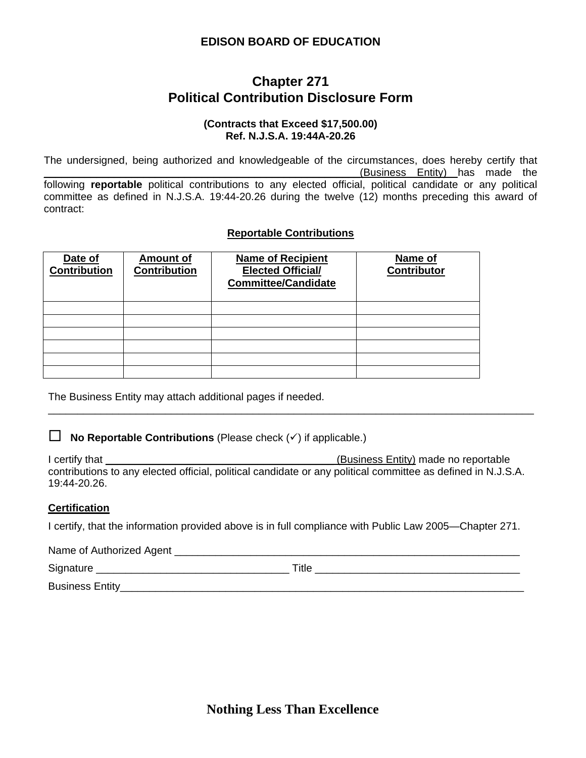### **EDISON BOARD OF EDUCATION**

### **Chapter 271 Political Contribution Disclosure Form**

### **(Contracts that Exceed \$17,500.00) Ref. N.J.S.A. 19:44A-20.26**

The undersigned, being authorized and knowledgeable of the circumstances, does hereby certify that \_\_\_\_\_\_\_\_\_\_\_\_\_\_\_\_\_\_\_\_\_\_\_\_\_\_\_\_\_\_\_\_\_\_\_\_\_\_\_\_\_\_\_\_\_\_\_\_\_\_\_\_\_\_(Business Entity) has made the following **reportable** political contributions to any elected official, political candidate or any political committee as defined in N.J.S.A. 19:44-20.26 during the twelve (12) months preceding this award of contract:

### **Reportable Contributions**

| Date of<br><b>Contribution</b> | <b>Amount of</b><br><b>Contribution</b> | <b>Name of Recipient</b><br><b>Elected Official/</b><br><b>Committee/Candidate</b> | Name of<br><b>Contributor</b> |
|--------------------------------|-----------------------------------------|------------------------------------------------------------------------------------|-------------------------------|
|                                |                                         |                                                                                    |                               |
|                                |                                         |                                                                                    |                               |
|                                |                                         |                                                                                    |                               |
|                                |                                         |                                                                                    |                               |
|                                |                                         |                                                                                    |                               |
|                                |                                         |                                                                                    |                               |

The Business Entity may attach additional pages if needed.

 $\Box$  **No Reportable Contributions** (Please check  $(\checkmark)$  if applicable.)

I certify that **I** certify that **Example 2** is the set of the set of the set of the set of the set of the set of the set of the set of the set of the set of the set of the set of the set of the set of the set of the set of contributions to any elected official, political candidate or any political committee as defined in N.J.S.A. 19:44-20.26.

\_\_\_\_\_\_\_\_\_\_\_\_\_\_\_\_\_\_\_\_\_\_\_\_\_\_\_\_\_\_\_\_\_\_\_\_\_\_\_\_\_\_\_\_\_\_\_\_\_\_\_\_\_\_\_\_\_\_\_\_\_\_\_\_\_\_\_\_\_\_\_\_\_\_\_\_\_\_\_\_\_\_\_

### **Certification**

I certify, that the information provided above is in full compliance with Public Law 2005—Chapter 271.

| Name of Authorized Agent |       |
|--------------------------|-------|
| Signature                | Title |
| <b>Business Entity_</b>  |       |

**Nothing Less Than Excellence**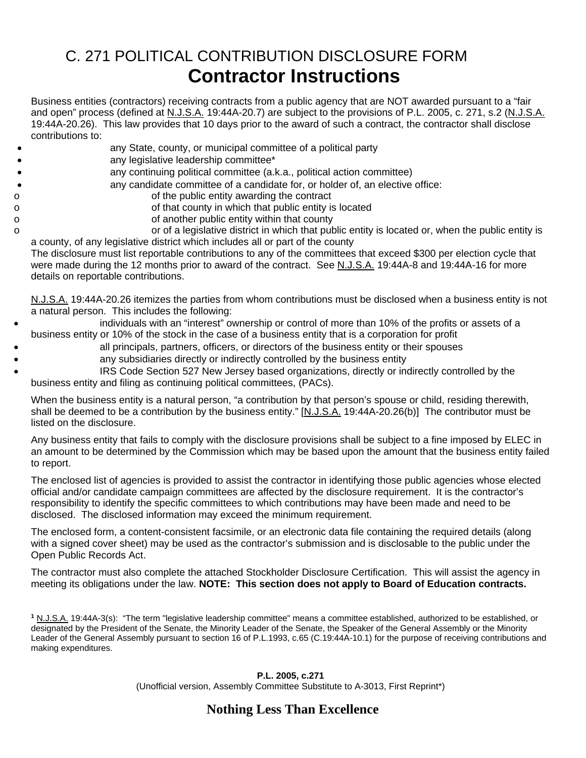# C. 271 POLITICAL CONTRIBUTION DISCLOSURE FORM **Contractor Instructions**

Business entities (contractors) receiving contracts from a public agency that are NOT awarded pursuant to a "fair and open" process (defined at N.J.S.A. 19:44A-20.7) are subject to the provisions of P.L. 2005, c. 271, s.2 (N.J.S.A. 19:44A-20.26). This law provides that 10 days prior to the award of such a contract, the contractor shall disclose contributions to:

- any State, county, or municipal committee of a political party
- any legislative leadership committee\*
- any continuing political committee (a.k.a., political action committee)
	- any candidate committee of a candidate for, or holder of, an elective office:
- o of the public entity awarding the contract
- o of that county in which that public entity is located
- o of another public entity within that county

o or of a legislative district in which that public entity is located or, when the public entity is a county, of any legislative district which includes all or part of the county

The disclosure must list reportable contributions to any of the committees that exceed \$300 per election cycle that were made during the 12 months prior to award of the contract. See N.J.S.A. 19:44A-8 and 19:44A-16 for more details on reportable contributions.

N.J.S.A. 19:44A-20.26 itemizes the parties from whom contributions must be disclosed when a business entity is not a natural person. This includes the following:

- individuals with an "interest" ownership or control of more than 10% of the profits or assets of a business entity or 10% of the stock in the case of a business entity that is a corporation for profit
- all principals, partners, officers, or directors of the business entity or their spouses
	- any subsidiaries directly or indirectly controlled by the business entity
	- IRS Code Section 527 New Jersey based organizations, directly or indirectly controlled by the business entity and filing as continuing political committees, (PACs).

When the business entity is a natural person, "a contribution by that person's spouse or child, residing therewith, shall be deemed to be a contribution by the business entity." [N.J.S.A. 19:44A-20.26(b)] The contributor must be listed on the disclosure.

Any business entity that fails to comply with the disclosure provisions shall be subject to a fine imposed by ELEC in an amount to be determined by the Commission which may be based upon the amount that the business entity failed to report.

The enclosed list of agencies is provided to assist the contractor in identifying those public agencies whose elected official and/or candidate campaign committees are affected by the disclosure requirement. It is the contractor's responsibility to identify the specific committees to which contributions may have been made and need to be disclosed. The disclosed information may exceed the minimum requirement.

The enclosed form, a content-consistent facsimile, or an electronic data file containing the required details (along with a signed cover sheet) may be used as the contractor's submission and is disclosable to the public under the Open Public Records Act.

The contractor must also complete the attached Stockholder Disclosure Certification. This will assist the agency in meeting its obligations under the law. **NOTE: This section does not apply to Board of Education contracts.**

### **P.L. 2005, c.271**

(Unofficial version, Assembly Committee Substitute to A-3013, First Reprint\*)

## **Nothing Less Than Excellence**

**<sup>1</sup>** N.J.S.A. 19:44A-3(s): "The term "legislative leadership committee" means a committee established, authorized to be established, or designated by the President of the Senate, the Minority Leader of the Senate, the Speaker of the General Assembly or the Minority Leader of the General Assembly pursuant to section 16 of P.L.1993, c.65 (C.19:44A-10.1) for the purpose of receiving contributions and making expenditures.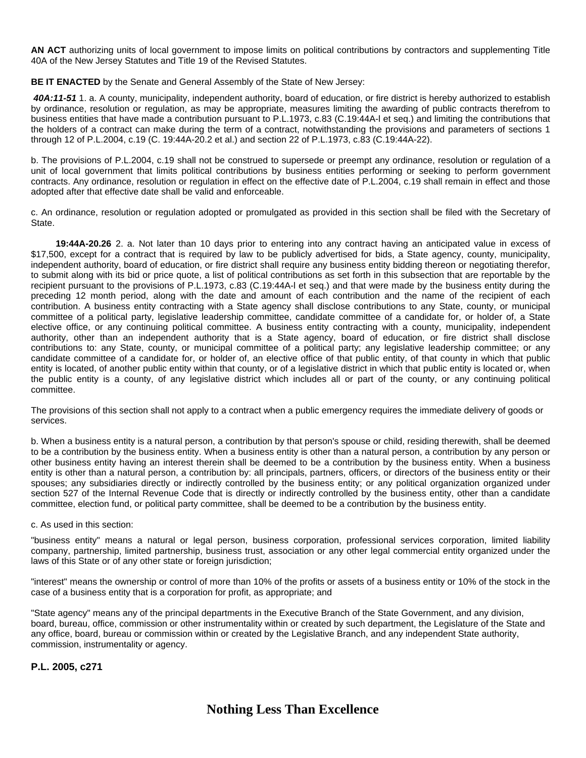**AN ACT** authorizing units of local government to impose limits on political contributions by contractors and supplementing Title 40A of the New Jersey Statutes and Title 19 of the Revised Statutes.

**BE IT ENACTED** by the Senate and General Assembly of the State of New Jersey:

*40A:11-51* 1. a. A county, municipality, independent authority, board of education, or fire district is hereby authorized to establish by ordinance, resolution or regulation, as may be appropriate, measures limiting the awarding of public contracts therefrom to business entities that have made a contribution pursuant to P.L.1973, c.83 (C.19:44A-l et seq.) and limiting the contributions that the holders of a contract can make during the term of a contract, notwithstanding the provisions and parameters of sections 1 through 12 of P.L.2004, c.19 (C. 19:44A-20.2 et al.) and section 22 of P.L.1973, c.83 (C.19:44A-22).

b. The provisions of P.L.2004, c.19 shall not be construed to supersede or preempt any ordinance, resolution or regulation of a unit of local government that limits political contributions by business entities performing or seeking to perform government contracts. Any ordinance, resolution or regulation in effect on the effective date of P.L.2004, c.19 shall remain in effect and those adopted after that effective date shall be valid and enforceable.

c. An ordinance, resolution or regulation adopted or promulgated as provided in this section shall be filed with the Secretary of State.

 **19:44A-20.26** 2. a. Not later than 10 days prior to entering into any contract having an anticipated value in excess of \$17,500, except for a contract that is required by law to be publicly advertised for bids, a State agency, county, municipality, independent authority, board of education, or fire district shall require any business entity bidding thereon or negotiating therefor, to submit along with its bid or price quote, a list of political contributions as set forth in this subsection that are reportable by the recipient pursuant to the provisions of P.L.1973, c.83 (C.19:44A-l et seq.) and that were made by the business entity during the preceding 12 month period, along with the date and amount of each contribution and the name of the recipient of each contribution. A business entity contracting with a State agency shall disclose contributions to any State, county, or municipal committee of a political party, legislative leadership committee, candidate committee of a candidate for, or holder of, a State elective office, or any continuing political committee. A business entity contracting with a county, municipality, independent authority, other than an independent authority that is a State agency, board of education, or fire district shall disclose contributions to: any State, county, or municipal committee of a political party; any legislative leadership committee; or any candidate committee of a candidate for, or holder of, an elective office of that public entity, of that county in which that public entity is located, of another public entity within that county, or of a legislative district in which that public entity is located or, when the public entity is a county, of any legislative district which includes all or part of the county, or any continuing political committee.

The provisions of this section shall not apply to a contract when a public emergency requires the immediate delivery of goods or services.

b. When a business entity is a natural person, a contribution by that person's spouse or child, residing therewith, shall be deemed to be a contribution by the business entity. When a business entity is other than a natural person, a contribution by any person or other business entity having an interest therein shall be deemed to be a contribution by the business entity. When a business entity is other than a natural person, a contribution by: all principals, partners, officers, or directors of the business entity or their spouses; any subsidiaries directly or indirectly controlled by the business entity; or any political organization organized under section 527 of the Internal Revenue Code that is directly or indirectly controlled by the business entity, other than a candidate committee, election fund, or political party committee, shall be deemed to be a contribution by the business entity.

#### c. As used in this section:

"business entity" means a natural or legal person, business corporation, professional services corporation, limited liability company, partnership, limited partnership, business trust, association or any other legal commercial entity organized under the laws of this State or of any other state or foreign jurisdiction;

"interest" means the ownership or control of more than 10% of the profits or assets of a business entity or 10% of the stock in the case of a business entity that is a corporation for profit, as appropriate; and

"State agency" means any of the principal departments in the Executive Branch of the State Government, and any division, board, bureau, office, commission or other instrumentality within or created by such department, the Legislature of the State and any office, board, bureau or commission within or created by the Legislative Branch, and any independent State authority, commission, instrumentality or agency.

**P.L. 2005, c271**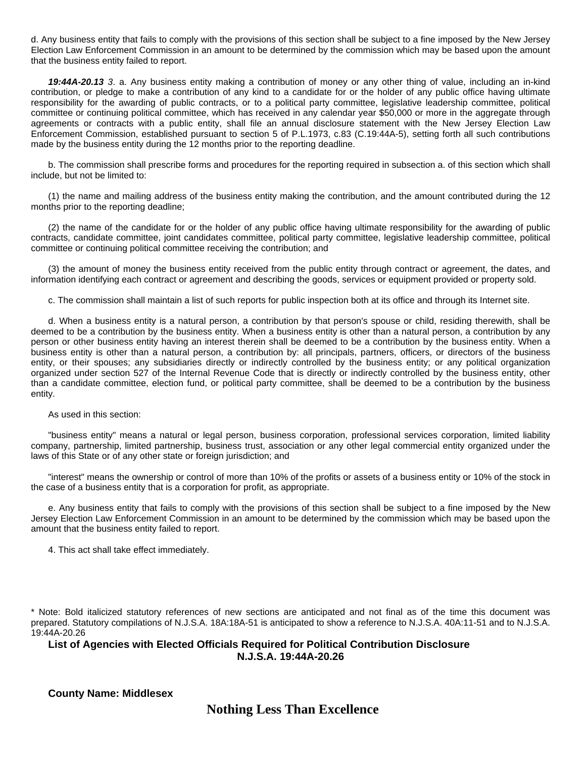d. Any business entity that fails to comply with the provisions of this section shall be subject to a fine imposed by the New Jersey Election Law Enforcement Commission in an amount to be determined by the commission which may be based upon the amount that the business entity failed to report.

*19:44A-20.13 3*. a. Any business entity making a contribution of money or any other thing of value, including an in-kind contribution, or pledge to make a contribution of any kind to a candidate for or the holder of any public office having ultimate responsibility for the awarding of public contracts, or to a political party committee, legislative leadership committee, political committee or continuing political committee, which has received in any calendar year \$50,000 or more in the aggregate through agreements or contracts with a public entity, shall file an annual disclosure statement with the New Jersey Election Law Enforcement Commission, established pursuant to section 5 of P.L.1973, c.83 (C.19:44A-5), setting forth all such contributions made by the business entity during the 12 months prior to the reporting deadline.

b. The commission shall prescribe forms and procedures for the reporting required in subsection a. of this section which shall include, but not be limited to:

(1) the name and mailing address of the business entity making the contribution, and the amount contributed during the 12 months prior to the reporting deadline;

(2) the name of the candidate for or the holder of any public office having ultimate responsibility for the awarding of public contracts, candidate committee, joint candidates committee, political party committee, legislative leadership committee, political committee or continuing political committee receiving the contribution; and

(3) the amount of money the business entity received from the public entity through contract or agreement, the dates, and information identifying each contract or agreement and describing the goods, services or equipment provided or property sold.

c. The commission shall maintain a list of such reports for public inspection both at its office and through its Internet site.

d. When a business entity is a natural person, a contribution by that person's spouse or child, residing therewith, shall be deemed to be a contribution by the business entity. When a business entity is other than a natural person, a contribution by any person or other business entity having an interest therein shall be deemed to be a contribution by the business entity. When a business entity is other than a natural person, a contribution by: all principals, partners, officers, or directors of the business entity, or their spouses; any subsidiaries directly or indirectly controlled by the business entity; or any political organization organized under section 527 of the Internal Revenue Code that is directly or indirectly controlled by the business entity, other than a candidate committee, election fund, or political party committee, shall be deemed to be a contribution by the business entity.

As used in this section:

"business entity" means a natural or legal person, business corporation, professional services corporation, limited liability company, partnership, limited partnership, business trust, association or any other legal commercial entity organized under the laws of this State or of any other state or foreign jurisdiction; and

"interest" means the ownership or control of more than 10% of the profits or assets of a business entity or 10% of the stock in the case of a business entity that is a corporation for profit, as appropriate.

e. Any business entity that fails to comply with the provisions of this section shall be subject to a fine imposed by the New Jersey Election Law Enforcement Commission in an amount to be determined by the commission which may be based upon the amount that the business entity failed to report.

4. This act shall take effect immediately.

\* Note: Bold italicized statutory references of new sections are anticipated and not final as of the time this document was prepared. Statutory compilations of N.J.S.A. 18A:18A-51 is anticipated to show a reference to N.J.S.A. 40A:11-51 and to N.J.S.A. 19:44A-20.26

### **List of Agencies with Elected Officials Required for Political Contribution Disclosure N.J.S.A. 19:44A-20.26**

**County Name: Middlesex**

**Nothing Less Than Excellence**